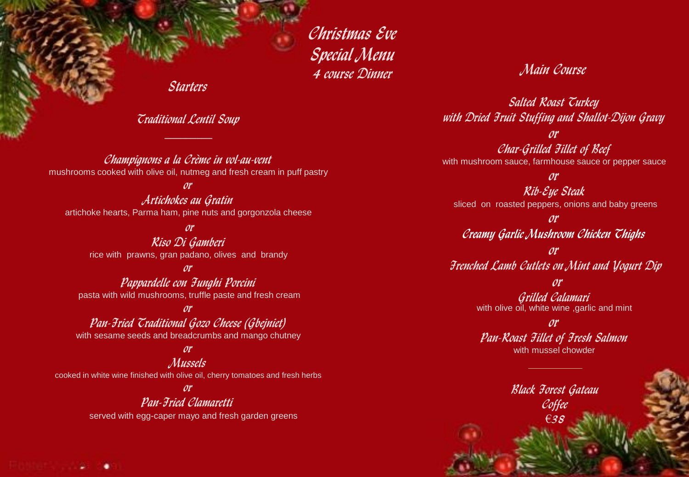Christmas Eve Special Menu 4 course Dinner

Starters

Traditional Lentil Soup  $\mathcal{L}=\mathcal{L}$ 

Champignons a la Crème in vol-au-vent mushrooms cooked with olive oil, nutmeg and fresh cream in puff pastry

or

Artichokes au Gratin artichoke hearts, Parma ham, pine nuts and gorgonzola cheese

or Riso Di Gamberi rice with prawns, gran padano, olives and brandy

or

Pappardelle con Funghi Porcini pasta with wild mushrooms, truffle paste and fresh cream

or

Pan-Fried Traditional Gozo Cheese (Gbejniet) with sesame seeds and breadcrumbs and mango chutney

## or

**Mussels** 

cooked in white wine finished with olive oil, cherry tomatoes and fresh herbs

## or Pan-Fried Clamaretti

served with egg-caper mayo and fresh garden greens

Main Course

Salted Roast Turkey with Dried Fruit Stuffing and Shallot-Dijon Gravy

or Char-Grilled Fillet of Beef with mushroom sauce, farmhouse sauce or pepper sauce

or

Rib-Eye Steak sliced on roasted peppers, onions and baby greens

or Creamy Garlic Mushroom Chicken Thighs

or Frenched Lamb Cutlets on Mint and Yogurt Dip

or

Grilled Calamari with olive oil, white wine ,garlic and mint

or Pan-Roast Fillet of Fresh Salmon with mussel chowder

> Black Forest Gateau Coffee €38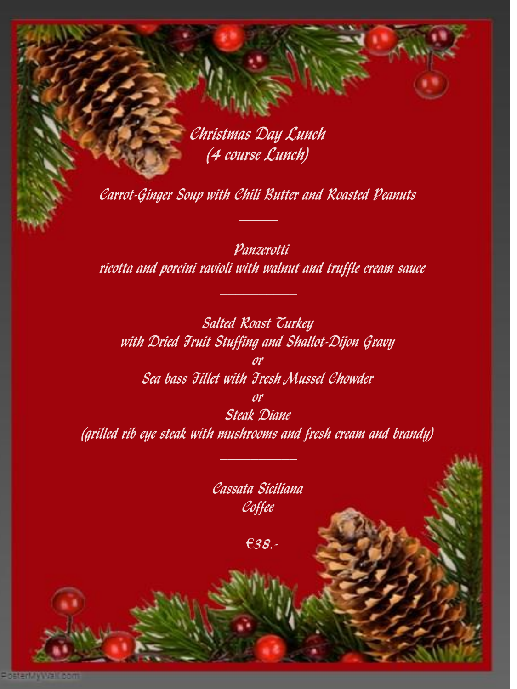Christmas Day Lunch (4 course Lunch)

Carrot-Ginger Soup with Chili Butter and Roasted Peanuts  $\frac{1}{2}$ 

 Panzerotti ricotta and porcini ravioli with walnut and truffle cream sauce

Salted Roast Turkey with Dried Fruit Stuffing and Shallot-Dijon Gravy or Sea bass Fillet with Fresh Mussel Chowder or Steak Diane (grilled rib eye steak with mushrooms and fresh cream and brandy)

> Cassata Siciliana Coffee

 $\frac{1}{2}$  , where  $\frac{1}{2}$ 

€38.-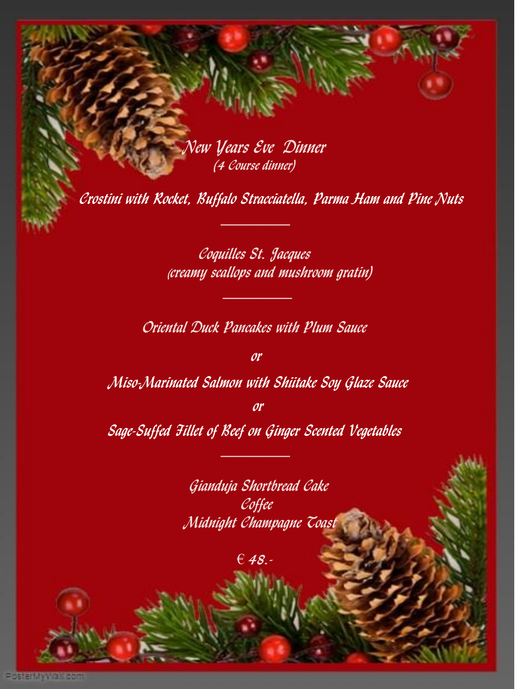New Years Eve Dinner (4 Course dinner)

Crostini with Rocket, Buffalo Stracciatella, Parma Ham and Pine Nuts

Coquilles St. Jacques (creamy scallops and mushroom gratin)

Oriental Duck Pancakes with Plum Sauce

**or** 

Miso-Marinated Salmon with Shiitake Soy Glaze Sauce

or

Sage-Suffed Fillet of Reef on Ginger Scented Vegetables

Gianduja Shortbread Cake Coffee Midnight Champagne Toast

 $E$  48.-